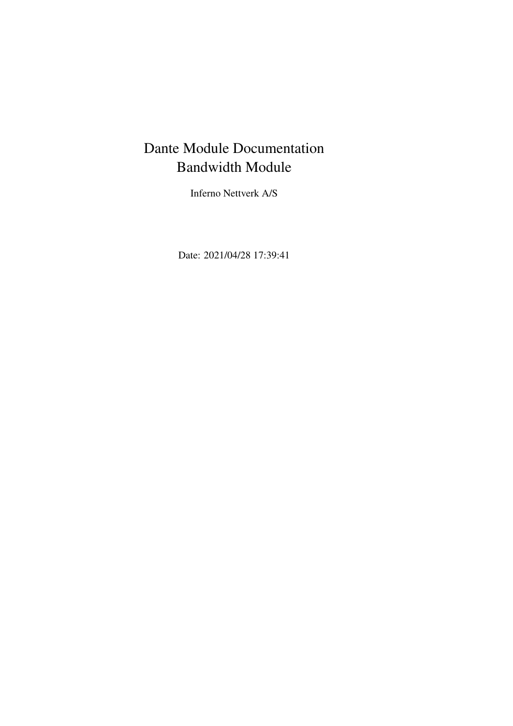# Dante Module Documentation Bandwidth Module

Inferno Nettverk A/S

Date: 2021/04/28 17:39:41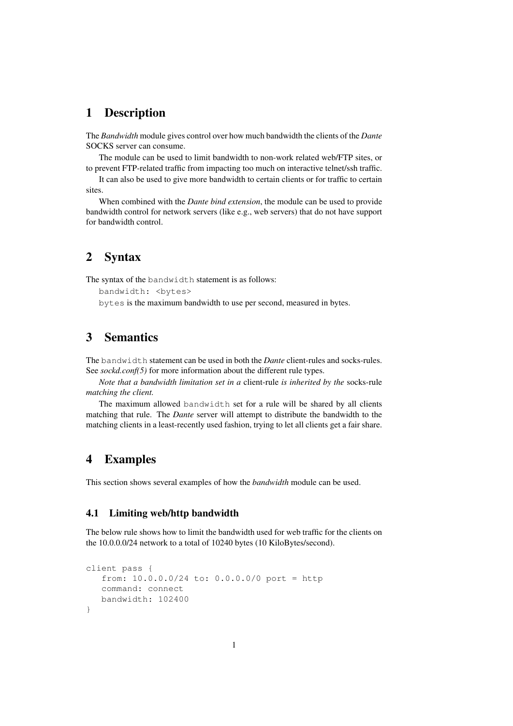### 1 Description

The *Bandwidth* module gives control over how much bandwidth the clients of the *Dante* SOCKS server can consume.

The module can be used to limit bandwidth to non-work related web/FTP sites, or to prevent FTP-related traffic from impacting too much on interactive telnet/ssh traffic.

It can also be used to give more bandwidth to certain clients or for traffic to certain sites.

When combined with the *Dante bind extension*, the module can be used to provide bandwidth control for network servers (like e.g., web servers) that do not have support for bandwidth control.

# 2 Syntax

The syntax of the bandwidth statement is as follows:

```
bandwidth: <br/>bytes>
```
bytes is the maximum bandwidth to use per second, measured in bytes.

# 3 Semantics

The bandwidth statement can be used in both the *Dante* client-rules and socks-rules. See *sockd.conf(5)* for more information about the different rule types.

*Note that a bandwidth limitation set in a* client-rule *is inherited by the* socks-rule *matching the client.*

The maximum allowed bandwidth set for a rule will be shared by all clients matching that rule. The *Dante* server will attempt to distribute the bandwidth to the matching clients in a least-recently used fashion, trying to let all clients get a fair share.

## 4 Examples

This section shows several examples of how the *bandwidth* module can be used.

### 4.1 Limiting web/http bandwidth

The below rule shows how to limit the bandwidth used for web traffic for the clients on the 10.0.0.0/24 network to a total of 10240 bytes (10 KiloBytes/second).

```
client pass {
   from: 10.0.0.0/24 to: 0.0.0.0/0 port = http
   command: connect
   bandwidth: 102400
}
```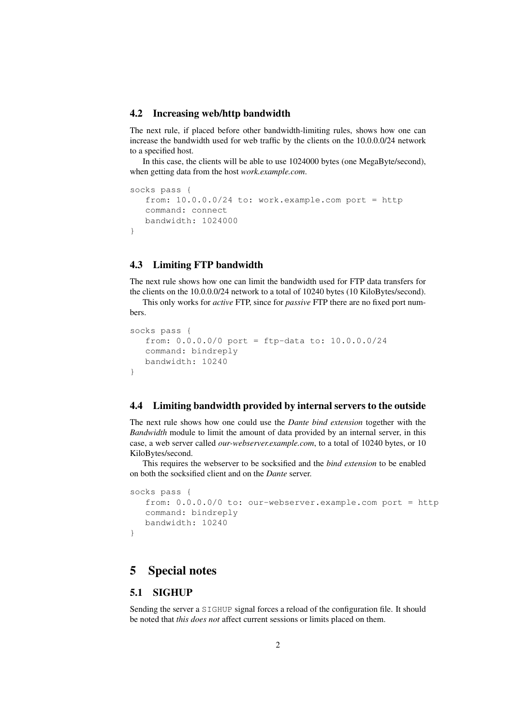#### 4.2 Increasing web/http bandwidth

The next rule, if placed before other bandwidth-limiting rules, shows how one can increase the bandwidth used for web traffic by the clients on the 10.0.0.0/24 network to a specified host.

In this case, the clients will be able to use 1024000 bytes (one MegaByte/second), when getting data from the host *work.example.com*.

```
socks pass {
  from: 10.0.0.0/24 to: work.example.com port = http
  command: connect
  bandwidth: 1024000
}
```
### 4.3 Limiting FTP bandwidth

The next rule shows how one can limit the bandwidth used for FTP data transfers for the clients on the 10.0.0.0/24 network to a total of 10240 bytes (10 KiloBytes/second).

This only works for *active* FTP, since for *passive* FTP there are no fixed port numbers.

```
socks pass {
   from: 0.0.0.0/0 port = ftp-data to: 10.0.0.0/24
  command: bindreply
  bandwidth: 10240
}
```
#### 4.4 Limiting bandwidth provided by internal servers to the outside

The next rule shows how one could use the *Dante bind extension* together with the *Bandwidth* module to limit the amount of data provided by an internal server, in this case, a web server called *our-webserver.example.com*, to a total of 10240 bytes, or 10 KiloBytes/second.

This requires the webserver to be socksified and the *bind extension* to be enabled on both the socksified client and on the *Dante* server.

```
socks pass {
   from: 0.0.0.0/0 to: our-webserver.example.com port = http
   command: bindreply
  bandwidth: 10240
}
```
# 5 Special notes

### 5.1 SIGHUP

Sending the server a SIGHUP signal forces a reload of the configuration file. It should be noted that *this does not* affect current sessions or limits placed on them.